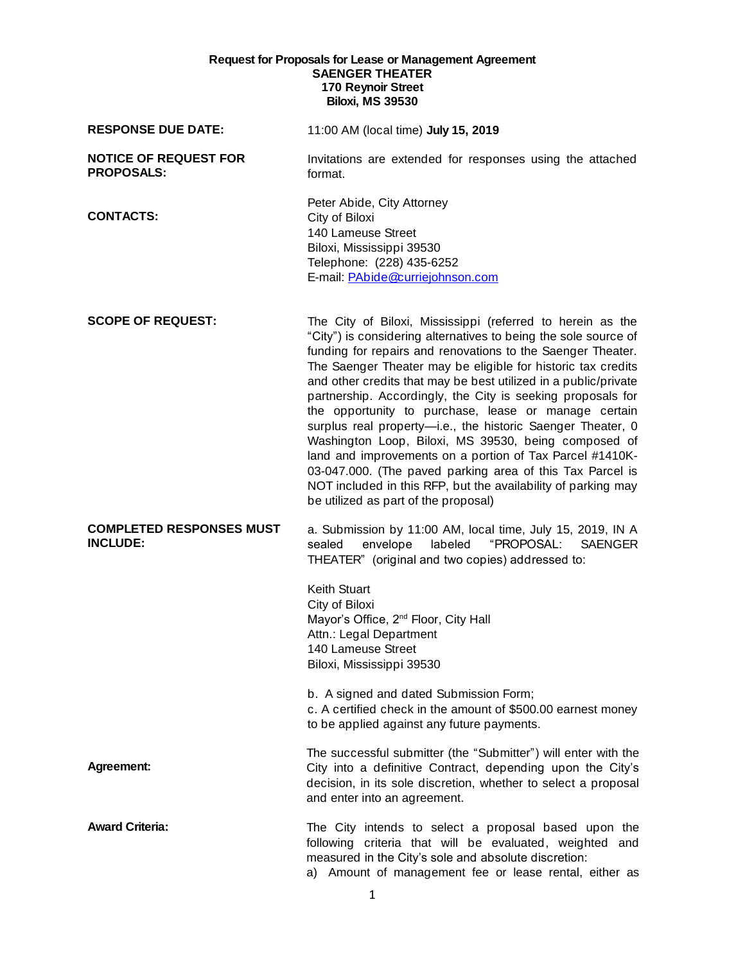## **Request for Proposals for Lease or Management Agreement SAENGER THEATER 170 Reynoir Street Biloxi, MS 39530**

| <b>RESPONSE DUE DATE:</b>                          | 11:00 AM (local time) July 15, 2019                                                                                                                                                                                                                                                                                                                                                                                                                                                                                                                                                                                                                                                                                                                                                                             |
|----------------------------------------------------|-----------------------------------------------------------------------------------------------------------------------------------------------------------------------------------------------------------------------------------------------------------------------------------------------------------------------------------------------------------------------------------------------------------------------------------------------------------------------------------------------------------------------------------------------------------------------------------------------------------------------------------------------------------------------------------------------------------------------------------------------------------------------------------------------------------------|
| <b>NOTICE OF REQUEST FOR</b><br><b>PROPOSALS:</b>  | Invitations are extended for responses using the attached<br>format.                                                                                                                                                                                                                                                                                                                                                                                                                                                                                                                                                                                                                                                                                                                                            |
| <b>CONTACTS:</b>                                   | Peter Abide, City Attorney<br>City of Biloxi<br>140 Lameuse Street<br>Biloxi, Mississippi 39530<br>Telephone: (228) 435-6252<br>E-mail: PAbide@curriejohnson.com                                                                                                                                                                                                                                                                                                                                                                                                                                                                                                                                                                                                                                                |
| <b>SCOPE OF REQUEST:</b>                           | The City of Biloxi, Mississippi (referred to herein as the<br>"City") is considering alternatives to being the sole source of<br>funding for repairs and renovations to the Saenger Theater.<br>The Saenger Theater may be eligible for historic tax credits<br>and other credits that may be best utilized in a public/private<br>partnership. Accordingly, the City is seeking proposals for<br>the opportunity to purchase, lease or manage certain<br>surplus real property-i.e., the historic Saenger Theater, 0<br>Washington Loop, Biloxi, MS 39530, being composed of<br>land and improvements on a portion of Tax Parcel #1410K-<br>03-047.000. (The paved parking area of this Tax Parcel is<br>NOT included in this RFP, but the availability of parking may<br>be utilized as part of the proposal) |
| <b>COMPLETED RESPONSES MUST</b><br><b>INCLUDE:</b> | a. Submission by 11:00 AM, local time, July 15, 2019, IN A<br>"PROPOSAL:<br>envelope<br>labeled<br><b>SAENGER</b><br>sealed<br>THEATER" (original and two copies) addressed to:<br><b>Keith Stuart</b><br>City of Biloxi<br>Mayor's Office, 2 <sup>nd</sup> Floor, City Hall<br>Attn.: Legal Department<br>140 Lameuse Street<br>Biloxi, Mississippi 39530<br>b. A signed and dated Submission Form;<br>c. A certified check in the amount of \$500.00 earnest money<br>to be applied against any future payments.                                                                                                                                                                                                                                                                                              |
| Agreement:                                         | The successful submitter (the "Submitter") will enter with the<br>City into a definitive Contract, depending upon the City's<br>decision, in its sole discretion, whether to select a proposal<br>and enter into an agreement.                                                                                                                                                                                                                                                                                                                                                                                                                                                                                                                                                                                  |
| <b>Award Criteria:</b>                             | The City intends to select a proposal based upon the<br>following criteria that will be evaluated, weighted and<br>measured in the City's sole and absolute discretion:<br>a) Amount of management fee or lease rental, either as                                                                                                                                                                                                                                                                                                                                                                                                                                                                                                                                                                               |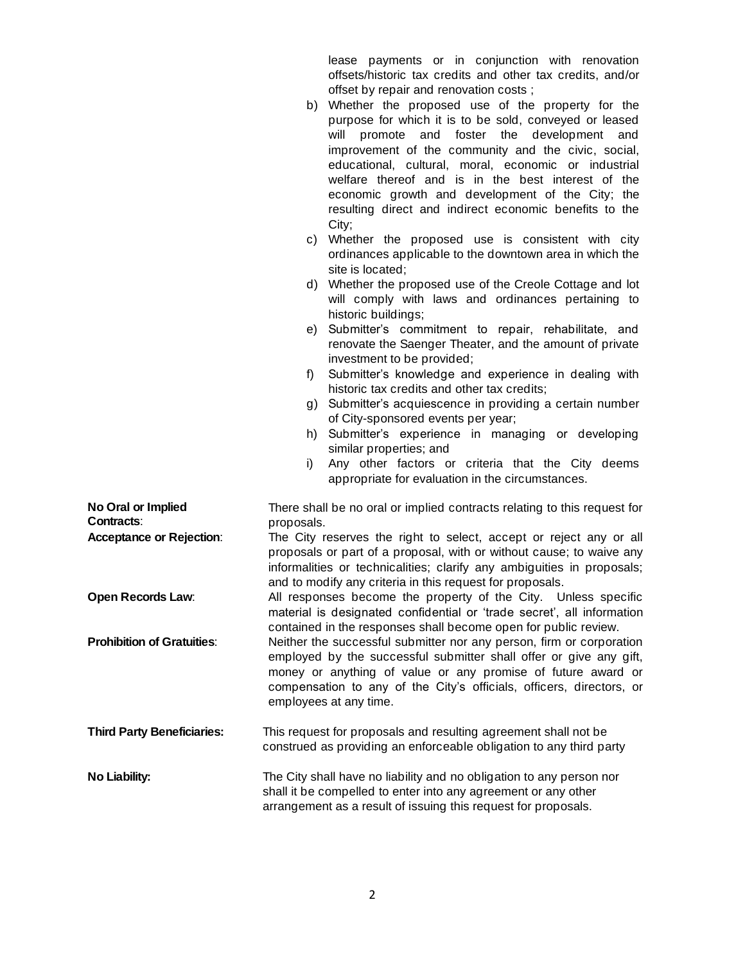lease payments or in conjunction with renovation offsets/historic tax credits and other tax credits, and/or offset by repair and renovation costs ;

- b) Whether the proposed use of the property for the purpose for which it is to be sold, conveyed or leased will promote and foster the development and improvement of the community and the civic, social, educational, cultural, moral, economic or industrial welfare thereof and is in the best interest of the economic growth and development of the City; the resulting direct and indirect economic benefits to the City;
- c) Whether the proposed use is consistent with city ordinances applicable to the downtown area in which the site is located;
- d) Whether the proposed use of the Creole Cottage and lot will comply with laws and ordinances pertaining to historic buildings;
- e) Submitter's commitment to repair, rehabilitate, and renovate the Saenger Theater, and the amount of private investment to be provided;
- f) Submitter's knowledge and experience in dealing with historic tax credits and other tax credits;
- g) Submitter's acquiescence in providing a certain number of City-sponsored events per year;
- h) Submitter's experience in managing or developing similar properties; and
- i) Any other factors or criteria that the City deems appropriate for evaluation in the circumstances.

| No Oral or Implied<br>Contracts:  | There shall be no oral or implied contracts relating to this request for<br>proposals.                                                                                                                                                                                                                       |  |  |  |
|-----------------------------------|--------------------------------------------------------------------------------------------------------------------------------------------------------------------------------------------------------------------------------------------------------------------------------------------------------------|--|--|--|
| <b>Acceptance or Rejection:</b>   | The City reserves the right to select, accept or reject any or all<br>proposals or part of a proposal, with or without cause; to waive any<br>informalities or technicalities; clarify any ambiguities in proposals;<br>and to modify any criteria in this request for proposals.                            |  |  |  |
| <b>Open Records Law:</b>          | All responses become the property of the City. Unless specific<br>material is designated confidential or 'trade secret', all information<br>contained in the responses shall become open for public review.                                                                                                  |  |  |  |
| <b>Prohibition of Gratuities:</b> | Neither the successful submitter nor any person, firm or corporation<br>employed by the successful submitter shall offer or give any gift,<br>money or anything of value or any promise of future award or<br>compensation to any of the City's officials, officers, directors, or<br>employees at any time. |  |  |  |
| <b>Third Party Beneficiaries:</b> | This request for proposals and resulting agreement shall not be<br>construed as providing an enforceable obligation to any third party                                                                                                                                                                       |  |  |  |
| No Liability:                     | The City shall have no liability and no obligation to any person nor<br>shall it be compelled to enter into any agreement or any other<br>arrangement as a result of issuing this request for proposals.                                                                                                     |  |  |  |